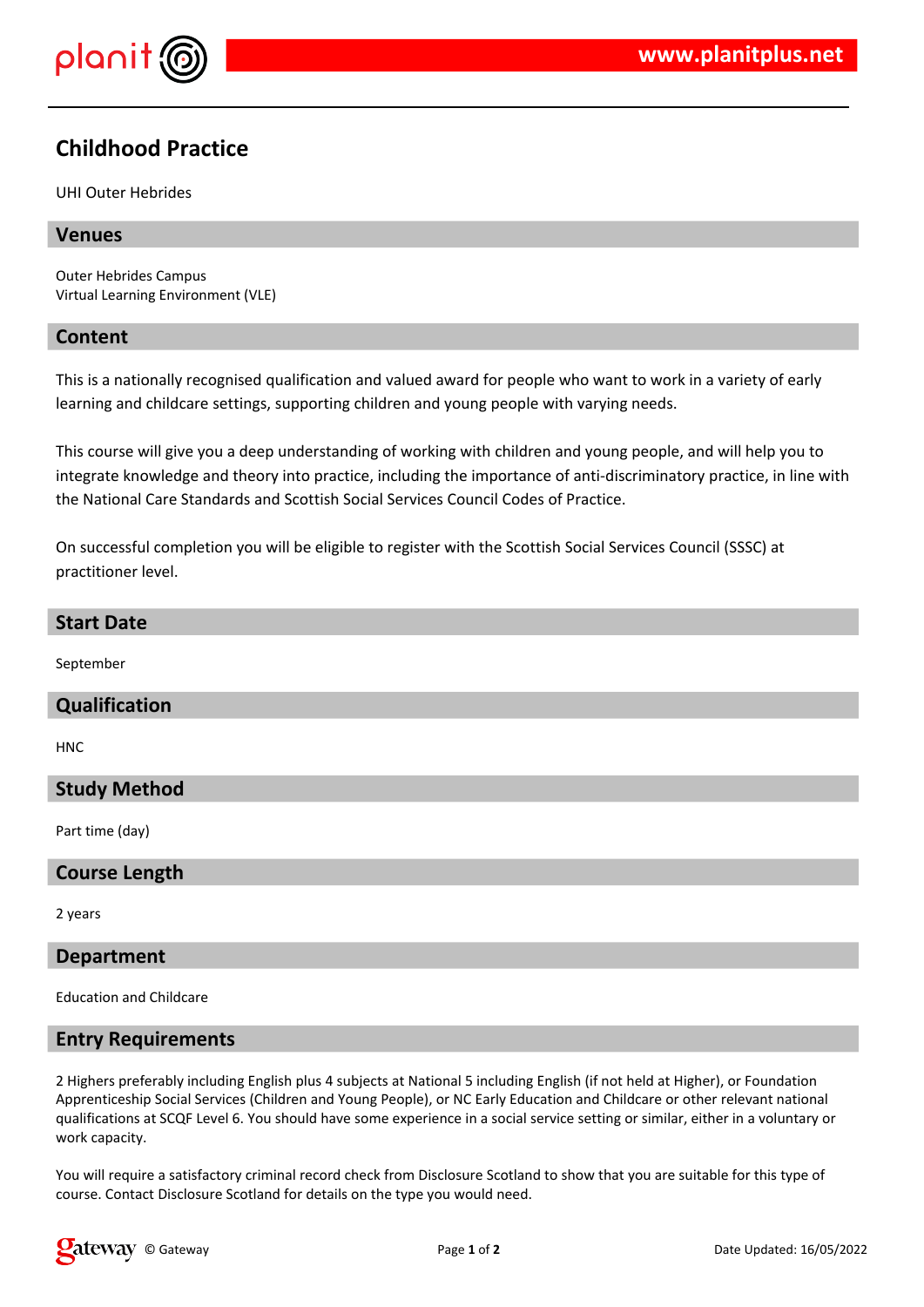

# **Childhood Practice**

UHI Outer Hebrides

### **Venues**

Outer Hebrides Campus Virtual Learning Environment (VLE)

#### **Content**

This is a nationally recognised qualification and valued award for people who want to work in a variety of early learning and childcare settings, supporting children and young people with varying needs.

This course will give you a deep understanding of working with children and young people, and will help you to integrate knowledge and theory into practice, including the importance of anti-discriminatory practice, in line with the National Care Standards and Scottish Social Services Council Codes of Practice.

On successful completion you will be eligible to register with the Scottish Social Services Council (SSSC) at practitioner level.

#### **Start Date**

September

#### **Qualification**

HNC

#### **Study Method**

Part time (day)

#### **Course Length**

2 years

#### **Department**

Education and Childcare

#### **Entry Requirements**

2 Highers preferably including English plus 4 subjects at National 5 including English (if not held at Higher), or Foundation Apprenticeship Social Services (Children and Young People), or NC Early Education and Childcare or other relevant national qualifications at SCQF Level 6. You should have some experience in a social service setting or similar, either in a voluntary or work capacity.

You will require a satisfactory criminal record check from Disclosure Scotland to show that you are suitable for this type of course. Contact Disclosure Scotland for details on the type you would need.